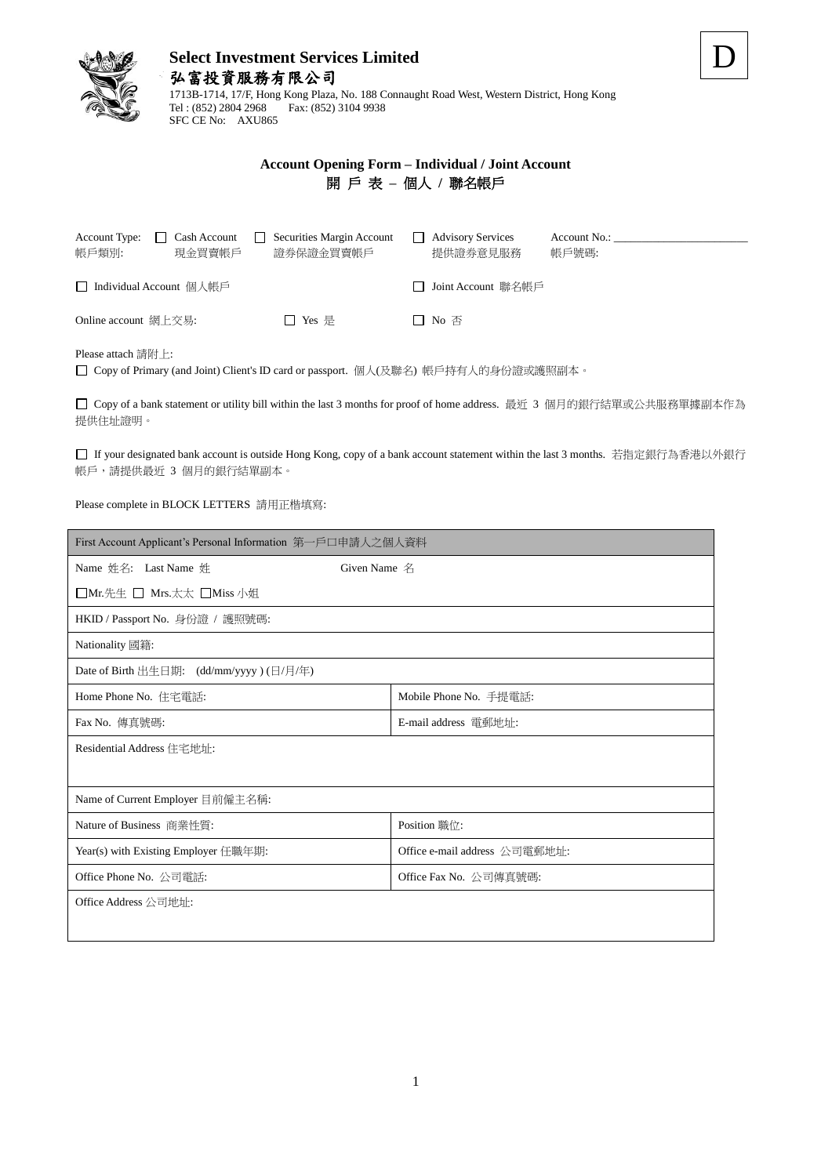

# **Select Investment Services Limited** 弘富投資服務有限公司

1713B-1714, 17/F, Hong Kong Plaza, No. 188 Connaught Road West, Western District, Hong Kong Tel : (852) 2804 2968 Fax: (852) 3104 9938 SFC CE No: AXU865

### **Account Opening Form – Individual / Joint Account** 開 戶 表 **–** 個人 **/** 聯名帳戶

| Cash Account<br>Account Type:<br>帳戶類別:<br>現金買賣帳戶 | Securities Margin Account<br>證券保證金買賣帳戶 | <b>Advisory Services</b><br>提供證券意見服務 | Account No.:<br>帳戶號碼: |
|--------------------------------------------------|----------------------------------------|--------------------------------------|-----------------------|
| □ Individual Account 個人帳戶                        |                                        | □ Joint Account 聯名帳戶                 |                       |
| Online account 網上交易:                             | □ Yes 是                                | $\Box$ No $\overline{\oplus}$        |                       |

Please attach 請附上:

Copy of Primary (and Joint) Client's ID card or passport. 個人(及聯名) 帳戶持有人的身份證或護照副本。

□ Copy of a bank statement or utility bill within the last 3 months for proof of home address. 最近 3 個月的銀行結單或公共服務單據副本作為 提供住址證明。

If your designated bank account is outside Hong Kong, copy of a bank account statement within the last 3 months. 若指定銀行為香港以外銀行 帳戶,請提供最近 3 個月的銀行結單副本。

Please complete in BLOCK LETTERS 請用正楷填寫:

| First Account Applicant's Personal Information 第一戶口申請人之個人資料 |                               |  |  |  |
|-------------------------------------------------------------|-------------------------------|--|--|--|
| Name 姓名: Last Name 姓<br>Given Name 名                        |                               |  |  |  |
| □Mr.先生 □ Mrs.太太 □Miss 小姐                                    |                               |  |  |  |
| HKID / Passport No. 身份證 / 護照號碼:                             |                               |  |  |  |
| Nationality 國籍:                                             |                               |  |  |  |
| Date of Birth 出生日期: (dd/mm/yyyy) (日/月/年)                    |                               |  |  |  |
| Home Phone No. 住宅電話:                                        | Mobile Phone No. 手提電話:        |  |  |  |
| Fax No. 傳真號碼:                                               | E-mail address 電郵地址:          |  |  |  |
| Residential Address 住宅地址:                                   |                               |  |  |  |
|                                                             |                               |  |  |  |
| Name of Current Employer 目前僱主名稱:                            |                               |  |  |  |
| Nature of Business 商業性質:                                    | Position 職位:                  |  |  |  |
| Year(s) with Existing Employer 任職年期:                        | Office e-mail address 公司雷郵地址: |  |  |  |
| Office Phone No. 公司電話:                                      | Office Fax No. 公司傳真號碼:        |  |  |  |
| Office Address 公司地址:                                        |                               |  |  |  |
|                                                             |                               |  |  |  |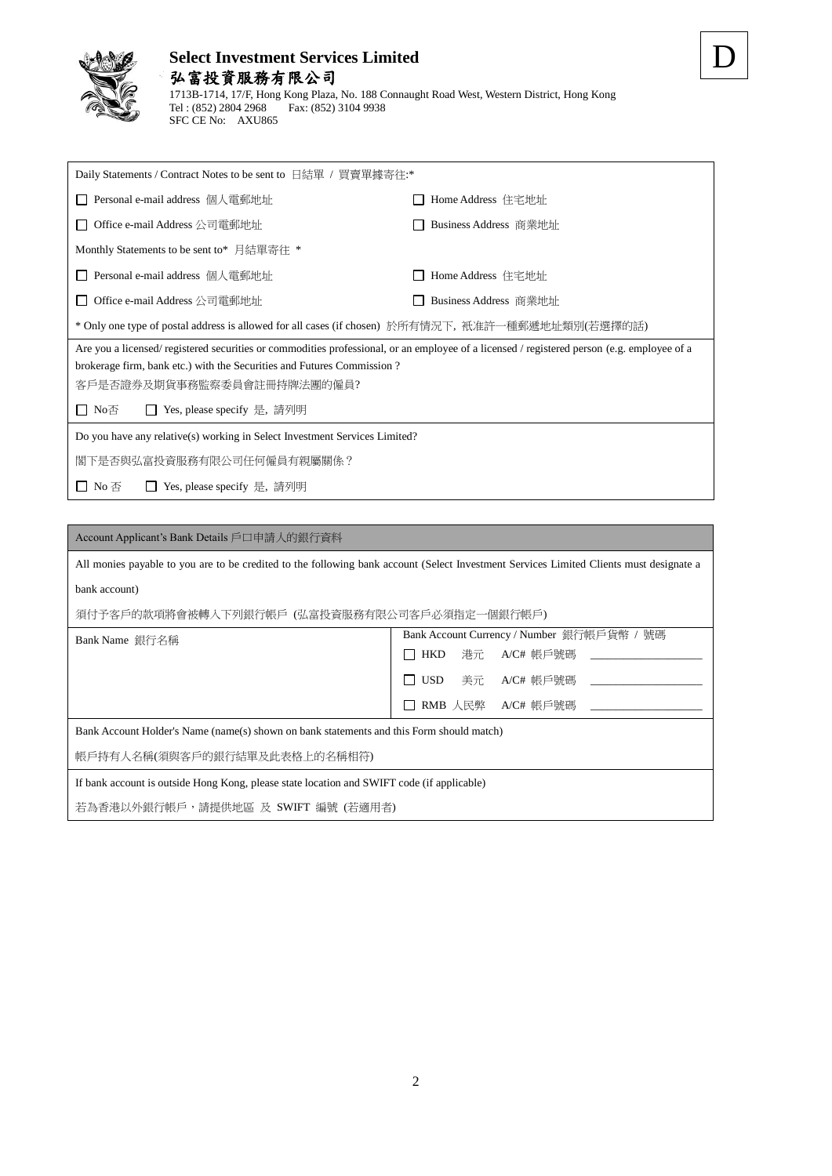

SFC CE No: AXU865

#### **Select Investment Services Limited** 弘富投資服務有限公司 1713B-1714, 17/F, Hong Kong Plaza, No. 188 Connaught Road West, Western District, Hong Kong Tel : (852) 2804 2968 Fax: (852) 3104 9938

| Daily Statements / Contract Notes to be sent to 日結單 / 買賣單據寄往:*                                                                                                                                                                                                                             |                       |  |  |
|--------------------------------------------------------------------------------------------------------------------------------------------------------------------------------------------------------------------------------------------------------------------------------------------|-----------------------|--|--|
| Personal e-mail address 個人電郵地址                                                                                                                                                                                                                                                             | Home Address 住宅地址     |  |  |
| Office e-mail Address 公司雷郵地址<br>$\perp$                                                                                                                                                                                                                                                    | Business Address 商業地址 |  |  |
| Monthly Statements to be sent to* 月結單寄往 *                                                                                                                                                                                                                                                  |                       |  |  |
| Personal e-mail address 個人電郵地址<br>$\perp$                                                                                                                                                                                                                                                  | Home Address 住宅地址     |  |  |
| Office e-mail Address 公司電郵地址<br>Business Address 商業地址<br>$\perp$                                                                                                                                                                                                                           |                       |  |  |
| * Only one type of postal address is allowed for all cases (if chosen) 於所有情況下,衹准許一種郵遞地址類別(若選擇的話)                                                                                                                                                                                           |                       |  |  |
| Are you a licensed/ registered securities or commodities professional, or an employee of a licensed / registered person (e.g. employee of a<br>brokerage firm, bank etc.) with the Securities and Futures Commission?<br>客戶是否證券及期貨事務監察委員會註冊持牌法團的僱員?<br>□ No否<br>Yes, please specify 是, 請列明 |                       |  |  |
| Do you have any relative(s) working in Select Investment Services Limited?                                                                                                                                                                                                                 |                       |  |  |
| 閣下是否與弘富投資服務有限公司任何僱員有親屬關係?                                                                                                                                                                                                                                                                  |                       |  |  |
| □ No 否<br>Yes, please specify 是, 請列明<br>$\mathbf{L}$                                                                                                                                                                                                                                       |                       |  |  |

| Account Applicant's Bank Details 戶口申請人的銀行資料                                                                                             |                                                                         |  |  |  |
|-----------------------------------------------------------------------------------------------------------------------------------------|-------------------------------------------------------------------------|--|--|--|
| All monies payable to you are to be credited to the following bank account (Select Investment Services Limited Clients must designate a |                                                                         |  |  |  |
| bank account)                                                                                                                           |                                                                         |  |  |  |
| 須付予客戶的款項將會被轉入下列銀行帳戶(弘富投資服務有限公司客戶必須指定一個銀行帳戶)                                                                                             |                                                                         |  |  |  |
| Bank Name 銀行名稱                                                                                                                          | Bank Account Currency / Number 銀行帳戶貨幣 / 號碼                              |  |  |  |
|                                                                                                                                         | $\Box$ HKD                                                              |  |  |  |
| $\Box$ USD<br>美元   A/C# 帳戶號碼  ________                                                                                                  |                                                                         |  |  |  |
|                                                                                                                                         | RMB 人民弊   A/C# 帳戶號碼                           A/C# 帳戶號碼<br>$\mathsf{L}$ |  |  |  |
| Bank Account Holder's Name (name(s) shown on bank statements and this Form should match)                                                |                                                                         |  |  |  |
| 帳戶持有人名稱(須與客戶的銀行結單及此表格上的名稱相符)                                                                                                            |                                                                         |  |  |  |
| If bank account is outside Hong Kong, please state location and SWIFT code (if applicable)                                              |                                                                         |  |  |  |
| 若為香港以外銀行帳戶,請提供地區 及 SWIFT 編號 (若適用者)                                                                                                      |                                                                         |  |  |  |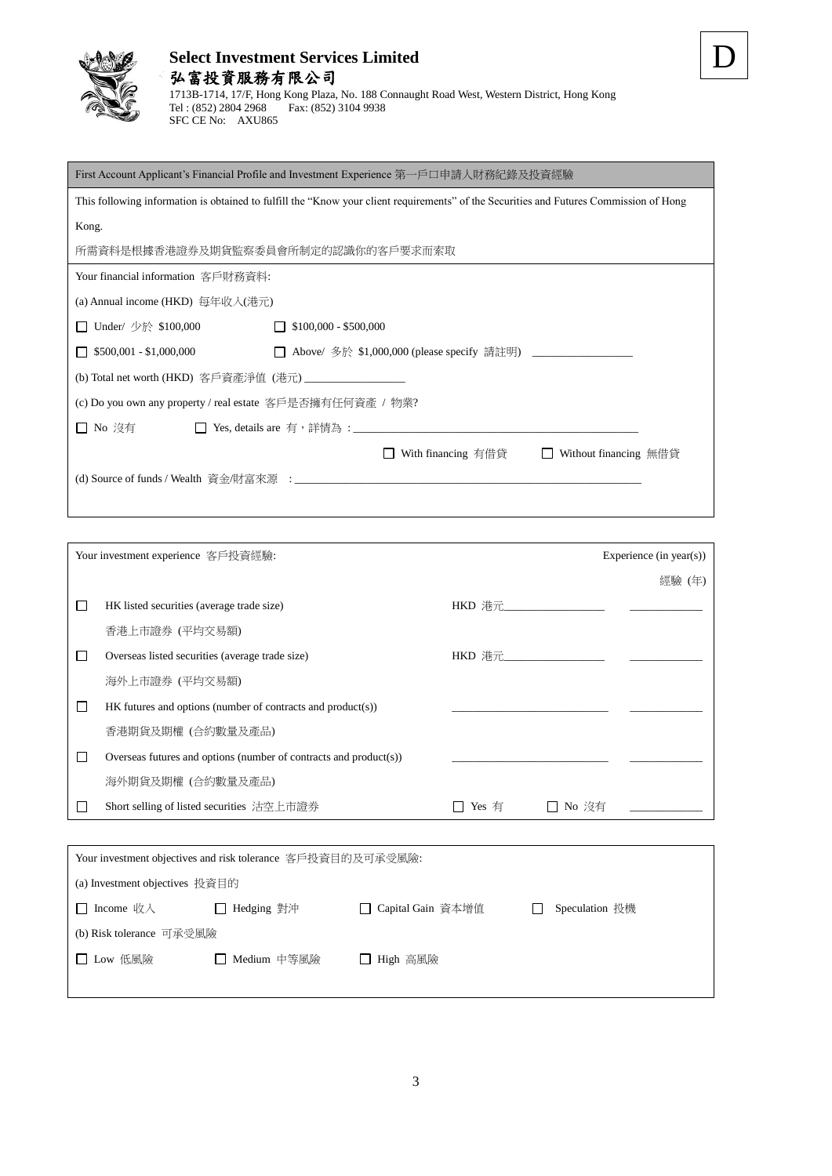

# **Select Investment Services Limited**

| 弘富投資服務有限公司                                                                                  |
|---------------------------------------------------------------------------------------------|
| 1713B-1714, 17/F, Hong Kong Plaza, No. 188 Connaught Road West, Western District, Hong Kong |
| Fax: (852) 3104 9938<br>Tel : (852) 2804 2968                                               |
| SFC CE No: AXU865                                                                           |

|--|

| First Account Applicant's Financial Profile and Investment Experience 第一戶口申請人財務紀錄及投資經驗                                                 |                                                        |  |  |
|----------------------------------------------------------------------------------------------------------------------------------------|--------------------------------------------------------|--|--|
| This following information is obtained to fulfill the "Know your client requirements" of the Securities and Futures Commission of Hong |                                                        |  |  |
| Kong.                                                                                                                                  |                                                        |  |  |
| 所需資料是根據香港證券及期貨監察委員會所制定的認識你的客戶要求而索取                                                                                                     |                                                        |  |  |
| Your financial information 客戶財務資料:                                                                                                     |                                                        |  |  |
| (a) Annual income (HKD) 每年收入(港元)                                                                                                       |                                                        |  |  |
| □ Under/ 少於 \$100,000                                                                                                                  | $$100,000 - $500,000$                                  |  |  |
| $\Box$ \$500,001 - \$1,000,000                                                                                                         |                                                        |  |  |
|                                                                                                                                        |                                                        |  |  |
| (c) Do you own any property / real estate 客戶是否擁有任何資產 / 物業?                                                                             |                                                        |  |  |
| □ No 沒有                                                                                                                                |                                                        |  |  |
|                                                                                                                                        | With financing 有借貸<br>Without financing 無借貸<br>$\perp$ |  |  |
|                                                                                                                                        |                                                        |  |  |

| Your investment experience 客戶投資經驗: |                                                                   |                                           |         | Experience $(in \, year(s))$ |
|------------------------------------|-------------------------------------------------------------------|-------------------------------------------|---------|------------------------------|
|                                    |                                                                   |                                           |         | 經驗 (年)                       |
|                                    | HK listed securities (average trade size)                         | $HKD$ 港元 アイスティッシュ しんしゃく しんしゃく しんしゃく しんしゃく |         |                              |
|                                    | 香港上市證券 (平均交易額)                                                    |                                           |         |                              |
|                                    | Overseas listed securities (average trade size)                   | $HKD$ 港元 アイスティッシュ                         |         |                              |
|                                    | 海外上市證券 (平均交易額)                                                    |                                           |         |                              |
|                                    | $HK$ futures and options (number of contracts and product(s))     |                                           |         |                              |
|                                    | 香港期貨及期權(合約數量及產品)                                                  |                                           |         |                              |
|                                    | Overseas futures and options (number of contracts and product(s)) |                                           |         |                              |
|                                    | 海外期貨及期權 (合約數量及產品)                                                 |                                           |         |                              |
|                                    | Short selling of listed securities 沽空上市證券                         | Yes 有                                     | □ No 沒有 |                              |
|                                    |                                                                   |                                           |         |                              |

| Your investment objectives and risk tolerance 客戶投資目的及可承受風險: |               |                     |  |                |
|-------------------------------------------------------------|---------------|---------------------|--|----------------|
| (a) Investment objectives 投資目的                              |               |                     |  |                |
| □ Income 收入                                                 | □ Hedging 對沖  | □ Capital Gain 資本增值 |  | Speculation 投機 |
| (b) Risk tolerance 可承受風險                                    |               |                     |  |                |
| □ Low 低風險                                                   | □ Medium 中等風險 | □ High 高風險          |  |                |
|                                                             |               |                     |  |                |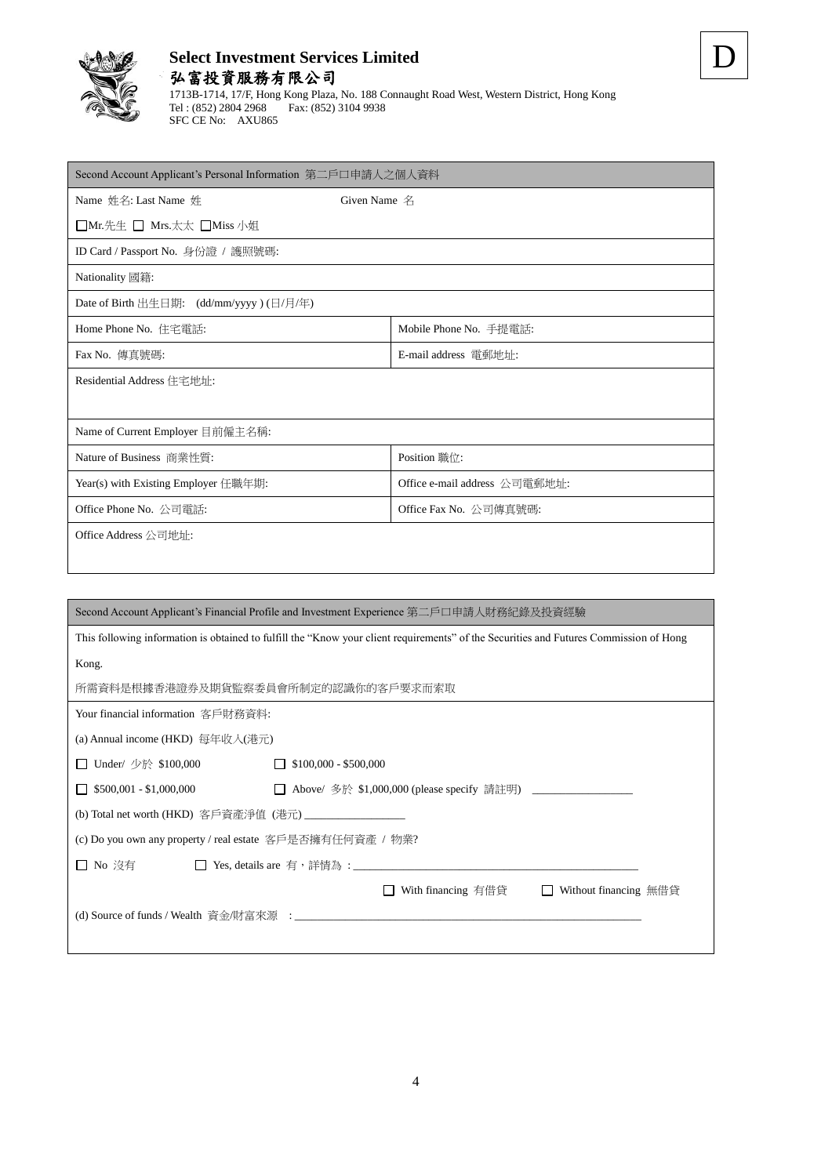

## **Select Investment Services Limited** 弘富投資服務有限公司

1713B-1714, 17/F, Hong Kong Plaza, No. 188 Connaught Road West, Western District, Hong Kong Tel : (852) 2804 2968 Fax: (852) 3104 9938 SFC CE No: AXU865

| Second Account Applicant's Personal Information 第二戶口申請人之個人資料 |                               |  |  |  |
|--------------------------------------------------------------|-------------------------------|--|--|--|
| Name 姓名: Last Name 姓                                         | Given Name $A$                |  |  |  |
| □Mr.先生 □ Mrs.太太 □Miss 小姐                                     |                               |  |  |  |
| ID Card / Passport No. 身份證 / 護照號碼:                           |                               |  |  |  |
| Nationality 國籍:                                              |                               |  |  |  |
| Date of Birth 出生日期: (dd/mm/yyyy) (日/月/年)                     |                               |  |  |  |
| Home Phone No. 住宅電話:                                         | Mobile Phone No. 手提電話:        |  |  |  |
| Fax No. 傳真號碼:<br>E-mail address 電郵地址:                        |                               |  |  |  |
| Residential Address 住宅地址:                                    |                               |  |  |  |
|                                                              |                               |  |  |  |
| Name of Current Employer 目前僱主名稱:                             |                               |  |  |  |
| Nature of Business 商業性質:                                     | Position 職位:                  |  |  |  |
| Year(s) with Existing Employer 任職年期:                         | Office e-mail address 公司電郵地址: |  |  |  |
| Office Phone No. 公司電話:                                       | Office Fax No. 公司傳真號碼:        |  |  |  |
| Office Address 公司地址:                                         |                               |  |  |  |
|                                                              |                               |  |  |  |
|                                                              |                               |  |  |  |

| Second Account Applicant's Financial Profile and Investment Experience 第二戶口申請人財務紀錄及投資經驗                                                |  |  |  |
|----------------------------------------------------------------------------------------------------------------------------------------|--|--|--|
| This following information is obtained to fulfill the "Know your client requirements" of the Securities and Futures Commission of Hong |  |  |  |
| Kong.                                                                                                                                  |  |  |  |
| 所需資料是根據香港證券及期貨監察委員會所制定的認識你的客戶要求而索取                                                                                                     |  |  |  |
| Your financial information 客戶財務資料:                                                                                                     |  |  |  |
| (a) Annual income (HKD) 每年收入(港元)                                                                                                       |  |  |  |
| Under/ 少於 \$100,000<br>$$100,000 - $500,000$                                                                                           |  |  |  |
| $$500,001 - $1,000,000$                                                                                                                |  |  |  |
| (b) Total net worth (HKD) 客戶資產淨值 (港元) ___________________                                                                              |  |  |  |
| (c) Do you own any property / real estate 客戶是否擁有任何資產 / 物業?                                                                             |  |  |  |
| □ No 沒有<br>$\perp$                                                                                                                     |  |  |  |
| With financing 有借貸<br>Without financing 無借貸<br>$\Box$                                                                                  |  |  |  |
|                                                                                                                                        |  |  |  |
|                                                                                                                                        |  |  |  |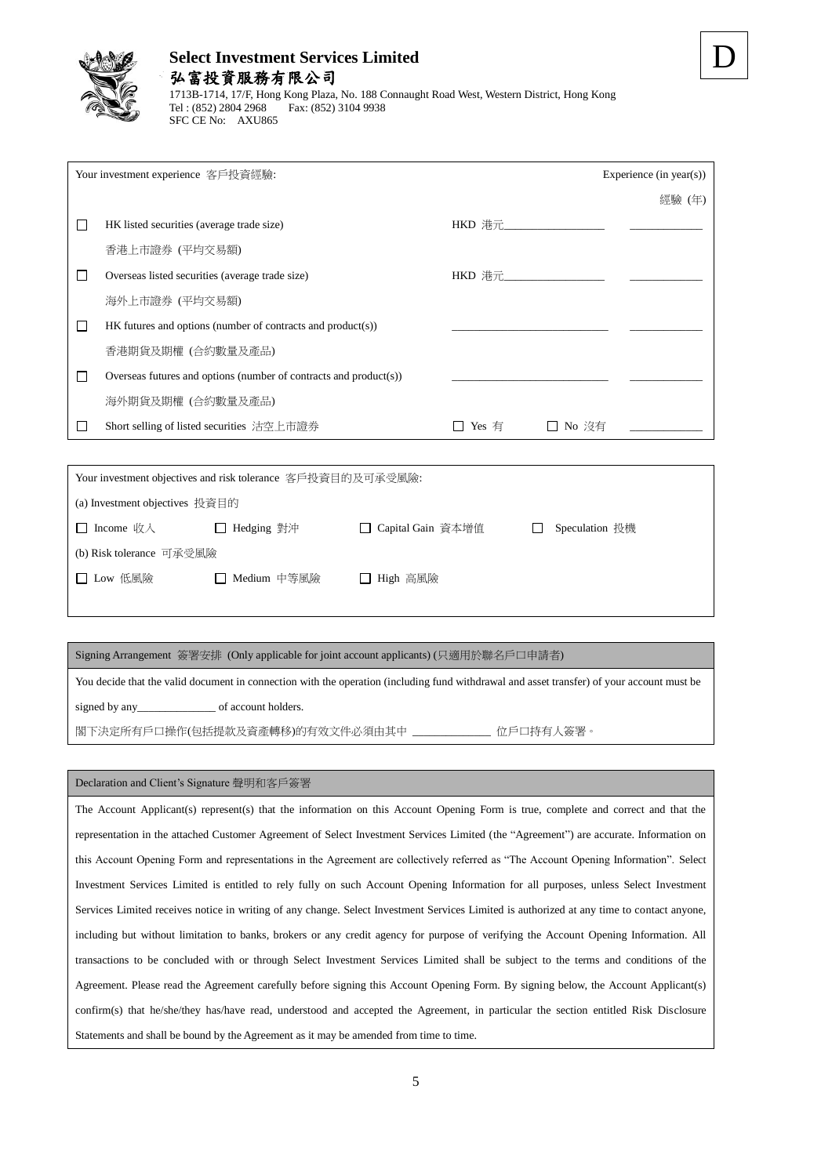

# **Select Investment Services Limited** 弘富投資服務有限公司

1713B-1714, 17/F, Hong Kong Plaza, No. 188 Connaught Road West, Western District, Hong Kong Tel : (852) 2804 2968 Fax: (852) 3104 9938 SFC CE No: AXU865

| Your investment experience 客戶投資經驗:                                   |                                                                                                                                                                                                                                                                                               | Experience (in year(s)) |
|----------------------------------------------------------------------|-----------------------------------------------------------------------------------------------------------------------------------------------------------------------------------------------------------------------------------------------------------------------------------------------|-------------------------|
|                                                                      |                                                                                                                                                                                                                                                                                               | 經驗 (年)                  |
| HK listed securities (average trade size)                            | HKD 港元_________________                                                                                                                                                                                                                                                                       |                         |
| 香港上市證券 (平均交易額)                                                       |                                                                                                                                                                                                                                                                                               |                         |
| Overseas listed securities (average trade size)                      | HKD 港元 $\ldots$ and $\ldots$ and $\ldots$ and $\ldots$ and $\ldots$ and $\ldots$ and $\ldots$ and $\ldots$ and $\ldots$ and $\ldots$ and $\ldots$ and $\ldots$ and $\ldots$ and $\ldots$ and $\ldots$ and $\ldots$ and $\ldots$ and $\ldots$ and $\ldots$ and $\ldots$ and $\ldots$ and $\ld$ |                         |
| 海外上市證券 (平均交易額)                                                       |                                                                                                                                                                                                                                                                                               |                         |
| $HK$ futures and options (number of contracts and product(s))        |                                                                                                                                                                                                                                                                                               |                         |
| 香港期貨及期權 (合約數量及產品)                                                    |                                                                                                                                                                                                                                                                                               |                         |
| Overseas futures and options (number of contracts and $product(s)$ ) |                                                                                                                                                                                                                                                                                               |                         |
| 海外期貨及期權 (合約數量及產品)                                                    |                                                                                                                                                                                                                                                                                               |                         |
| Short selling of listed securities 沽空上市證券                            | Yes 有                                                                                                                                                                                                                                                                                         | □ No 沒有                 |

| Your investment objectives and risk tolerance 客戶投資目的及可承受風險: |               |                     |              |                |  |  |
|-------------------------------------------------------------|---------------|---------------------|--------------|----------------|--|--|
| (a) Investment objectives 投資目的                              |               |                     |              |                |  |  |
| □ Income 收入                                                 | □ Hedging 對沖  | □ Capital Gain 資本增值 | $\mathbf{I}$ | Speculation 投機 |  |  |
| (b) Risk tolerance 可承受風險                                    |               |                     |              |                |  |  |
| □ Low 低風險                                                   | □ Medium 中等風險 | □ High 高風險          |              |                |  |  |
|                                                             |               |                     |              |                |  |  |

#### Signing Arrangement 簽署安排 (Only applicable for joint account applicants) (只適用於聯名戶口申請者)

You decide that the valid document in connection with the operation (including fund withdrawal and asset transfer) of your account must be signed by any<br>
<u>\_\_\_\_\_\_\_\_\_\_\_\_\_\_\_\_\_</u> of account holders.

閣下決定所有戶口操作(包括提款及資產轉移)的有效文件必須由其中 \_\_\_\_\_\_\_\_\_\_\_\_\_\_ 位戶口持有人簽署。

#### Declaration and Client's Signature 聲明和客戶簽署

The Account Applicant(s) represent(s) that the information on this Account Opening Form is true, complete and correct and that the representation in the attached Customer Agreement of Select Investment Services Limited (the "Agreement") are accurate. Information on this Account Opening Form and representations in the Agreement are collectively referred as "The Account Opening Information". Select Investment Services Limited is entitled to rely fully on such Account Opening Information for all purposes, unless Select Investment Services Limited receives notice in writing of any change. Select Investment Services Limited is authorized at any time to contact anyone, including but without limitation to banks, brokers or any credit agency for purpose of verifying the Account Opening Information. All transactions to be concluded with or through Select Investment Services Limited shall be subject to the terms and conditions of the Agreement. Please read the Agreement carefully before signing this Account Opening Form. By signing below, the Account Applicant(s) confirm(s) that he/she/they has/have read, understood and accepted the Agreement, in particular the section entitled Risk Disclosure Statements and shall be bound by the Agreement as it may be amended from time to time.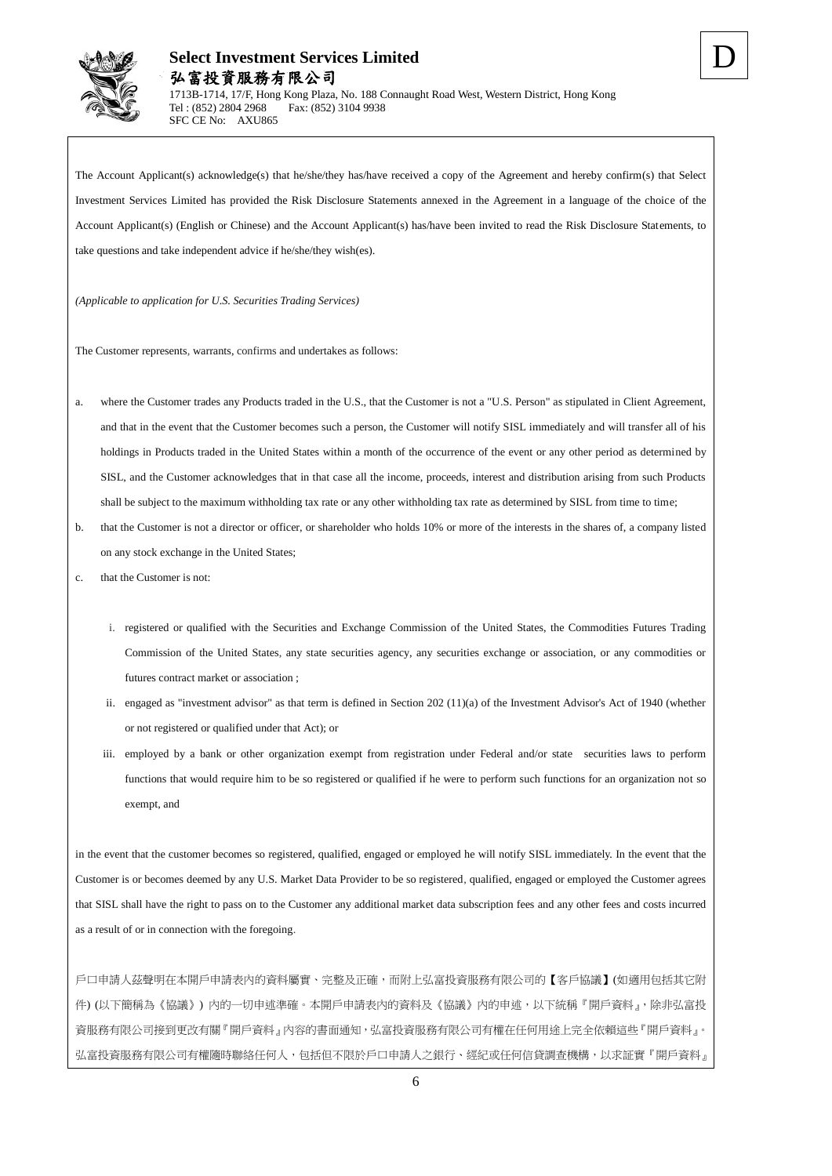

The Account Applicant(s) acknowledge(s) that he/she/they has/have received a copy of the Agreement and hereby confirm(s) that Select Investment Services Limited has provided the Risk Disclosure Statements annexed in the Agreement in a language of the choice of the Account Applicant(s) (English or Chinese) and the Account Applicant(s) has/have been invited to read the Risk Disclosure Statements, to take questions and take independent advice if he/she/they wish(es).

*(Applicable to application for U.S. Securities Trading Services)*

The Customer represents, warrants, confirms and undertakes as follows:

- a. where the Customer trades any Products traded in the U.S., that the Customer is not a "U.S. Person" as stipulated in Client Agreement, and that in the event that the Customer becomes such a person, the Customer will notify SISL immediately and will transfer all of his holdings in Products traded in the United States within a month of the occurrence of the event or any other period as determined by SISL, and the Customer acknowledges that in that case all the income, proceeds, interest and distribution arising from such Products shall be subject to the maximum withholding tax rate or any other withholding tax rate as determined by SISL from time to time;
- b. that the Customer is not a director or officer, or shareholder who holds 10% or more of the interests in the shares of, a company listed on any stock exchange in the United States;
- c. that the Customer is not:
	- i. registered or qualified with the Securities and Exchange Commission of the United States, the Commodities Futures Trading Commission of the United States, any state securities agency, any securities exchange or association, or any commodities or futures contract market or association ;
	- ii. engaged as "investment advisor" as that term is defined in Section 202 (11)(a) of the Investment Advisor's Act of 1940 (whether or not registered or qualified under that Act); or
	- iii. employed by a bank or other organization exempt from registration under Federal and/or state securities laws to perform functions that would require him to be so registered or qualified if he were to perform such functions for an organization not so exempt, and

in the event that the customer becomes so registered, qualified, engaged or employed he will notify SISL immediately. In the event that the Customer is or becomes deemed by any U.S. Market Data Provider to be so registered, qualified, engaged or employed the Customer agrees that SISL shall have the right to pass on to the Customer any additional market data subscription fees and any other fees and costs incurred as a result of or in connection with the foregoing.

戶口申請人茲聲明在本開戶申請表內的資料屬實、完整及正確,而附上弘富投資服務有限公司的【客戶協議】(如適用包括其它附 件) (以下簡稱為《協議》) 內的一切申述準確。本開戶申請表內的資料及《協議》內的申述,以下統稱『開戶資料』,除非弘富投 資服務有限公司接到更改有關『開戶資料』內容的書面通知,弘富投資服務有限公司有權在任何用途上完全依賴這些『開戶資料』。 弘富投資服務有限公司有權隨時聯絡任何人,包括但不限於戶口申請人之銀行、經紀或任何信貸調查機構,以求証實『開戶資料』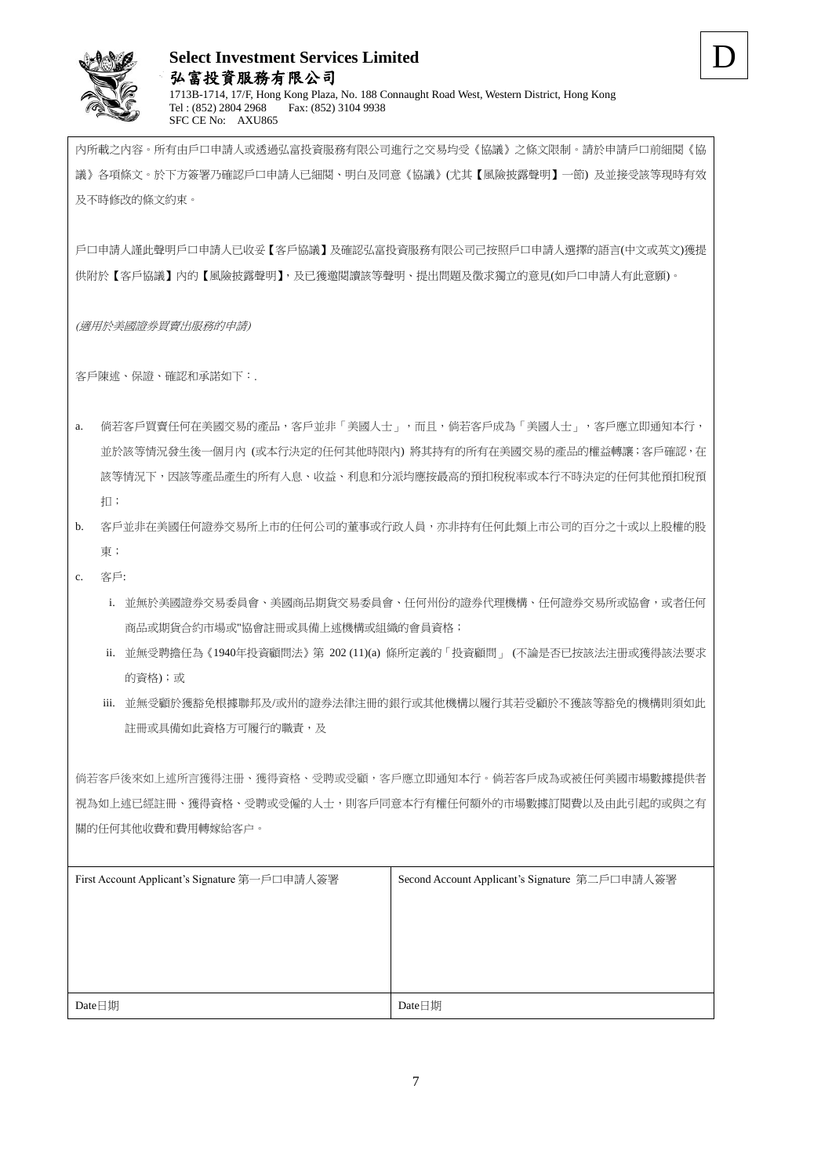

D

戶口申請人謹此聲明戶口申請人已收妥【客戶協議】及確認弘富投資服務有限公司己按照戶口申請人選擇的語言(中文或英文)獲提 供附於【客戶協議】內的【風險披露聲明】,及已獲邀閱讀該等聲明、提出問題及徵求獨立的意見(如戶口申請人有此意願)。

(適用於美國證券買賣出服務的申請)

客戶陳述、保證、確認和承諾如下:.

a. 倘若客戶買賣任何在美國交易的產品,客戶並非「美國人士」,而且,倘若客戶成為「美國人士」,客戶應立即通知本行, 並於該等情況發生後一個月內 (或本行決定的任何其他時限內) 將其持有的所有在美國交易的產品的權益轉讓;客戶確認,在 該等情況下,因該等產品產生的所有入息、收益、利息和分派均應按最高的預扣稅稅率或本行不時決定的任何其他預扣稅預 扣;

## b. 客戶並非在美國任何證券交易所上市的任何公司的董事或行政人員,亦非持有任何此類上市公司的百分之十或以上股權的股 東;

- c. 客戶:
	- i. 並無於美國證券交易委員會、美國商品期貨交易委員會、任何州份的證券代理機構、任何證券交易所或協會,或者任何 商品或期貨合約市場或"協會註冊或具備上述機構或組織的會員資格;
	- ii. 並無受聘擔任為《1940年投資顧問法》第 202 (11)(a) 條所定義的「投資顧問」 (不論是否已按該法注册或獲得該法要求 的資格);或
	- iii. 並無受顧於獲豁免根據聯邦及/或州的證券法律注冊的銀行或其他機構以履行其若受顧於不獲該等豁免的機構則須如此 註冊或具備如此資格方可履行的職責,及

倘若客戶後來如上述所言獲得注册、獲得資格、受聘或受顧,客戶應立即通知本行。倘若客戶成為或被任何美國市場數據提供者 視為如上述已經註冊、獲得資格、受聘或受僱的人士,則客戶同意本行有權任何額外的市場數據訂閱費以及由此引起的或與之有 關的任何其他收費和費用轉嫁給客户。

| First Account Applicant's Signature 第一戶口申請人簽署 | Second Account Applicant's Signature 第二戶口申請人簽署 |
|-----------------------------------------------|------------------------------------------------|
|                                               |                                                |
|                                               |                                                |
|                                               |                                                |
|                                               |                                                |
|                                               |                                                |
| Date日期                                        | Date日期                                         |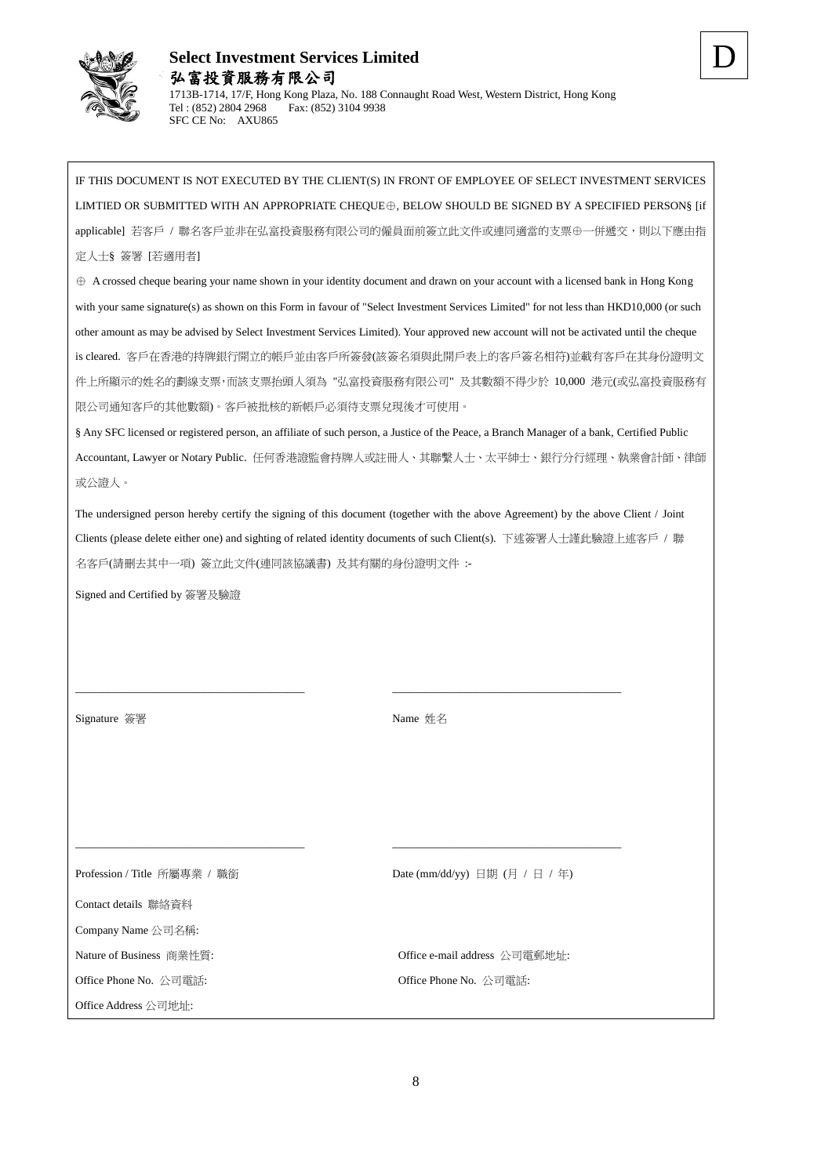

IF THIS DOCUMENT IS NOT EXECUTED BY THE CLIENT(S) IN FRONT OF EMPLOYEE OF SELECT INVESTMENT SERVICES LIMTIED OR SUBMITTED WITH AN APPROPRIATE CHEQUE⊕, BELOW SHOULD BE SIGNED BY A SPECIFIED PERSON§ [if applicable] 若客戶 / 聯名客戶並非在弘富投資服務有限公司的僱員面前簽立此文件或連同適當的支票⊕一併遞交,則以下應由指 定人士§ 簽署 [若適用者]

⊕ A crossed cheque bearing your name shown in your identity document and drawn on your account with a licensed bank in Hong Kong with your same signature(s) as shown on this Form in favour of "Select Investment Services Limited" for not less than HKD10,000 (or such other amount as may be advised by Select Investment Services Limited). Your approved new account will not be activated until the cheque is cleared. 客戶在香港的持牌銀行開立的帳戶並由客戶所簽發(該簽名須與此開戶表上的客戶簽名相符)並載有客戶在其身份證明文 件上所顯示的姓名的劃線支票,而該支票抬頭人須為 "弘富投資服務有限公司" 及其數額不得少於 10,000 港元(或弘富投資服務有 限公司通知客戶的其他數額)。客戶被批核的新帳戶必須待支票兌現後才可使用。

§ Any SFC licensed or registered person, an affiliate of such person, a Justice of the Peace, a Branch Manager of a bank, Certified Public Accountant, Lawyer or Notary Public. 任何香港證監會持牌人或註冊人、其聯繫人士、太平紳士、銀行分行經理、執業會計師、律師 或公證人。

The undersigned person hereby certify the signing of this document (together with the above Agreement) by the above Client / Joint Clients (please delete either one) and sighting of related identity documents of such Client(s). 下述簽署人士謹此驗證上述客戶 / 聯 名客戶(請刪去其中一項) 簽立此文件(連同該協議書) 及其有關的身份證明文件 :-

\_\_\_\_\_\_\_\_\_\_\_\_\_\_\_\_\_\_\_\_\_\_\_\_\_\_\_\_\_\_\_\_\_\_\_\_\_\_\_\_\_ \_\_\_\_\_\_\_\_\_\_\_\_\_\_\_\_\_\_\_\_\_\_\_\_\_\_\_\_\_\_\_\_\_\_\_\_\_\_\_\_\_

 $\_$  , and the set of the set of the set of the set of the set of the set of the set of the set of the set of the set of the set of the set of the set of the set of the set of the set of the set of the set of the set of th

Signed and Certified by 簽署及驗證

Signature 簽署 Name 姓名

Contact details 聯絡資料

Company Name 公司名稱:

Office Phone No. 公司電話: Office Phone No. 公司電話:

Office Address 公司地址:

Profession / Title 所屬專業 / 職銜 Date (mm/dd/yy) 日期 (月 / 日 / 年)

Nature of Business 商業性質: Office e-mail address 公司電郵地址: